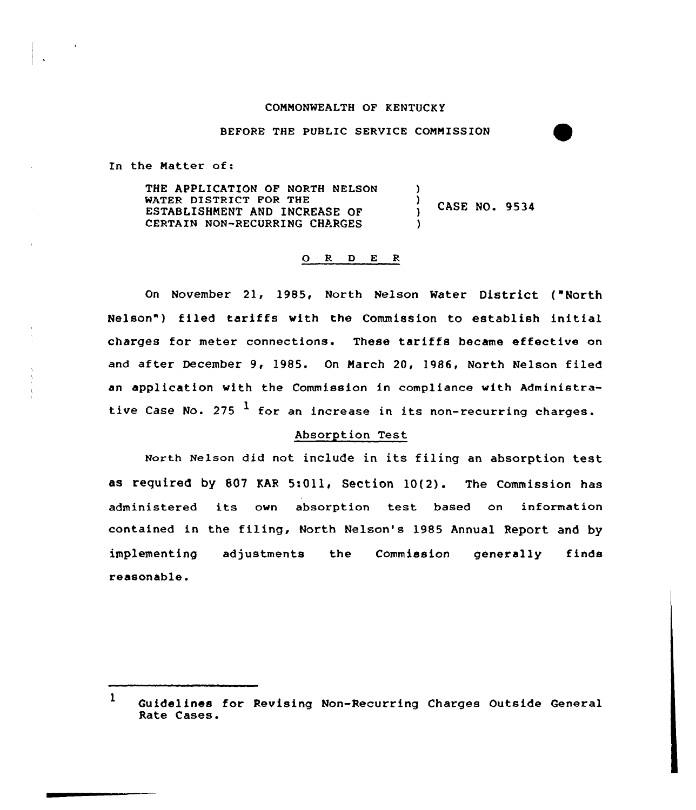#### COMMONWEALTH OF KENTUCKY

#### BEFORE THE PUBLIC SERVICE COMMISSION

In the Natter of:

THE APPLICATION OF NORTH NELSON WATER DISTRICT FOR THE ESTABLISHMENT AND INCREASE OF CERTAIN NON-RECURRING CHARGES )  $\left\{ \right.$ CASE NO. 9534 )

## Q R D E R

On November 21, 1985, North Nelson Water District ("North Nelson") filed tariffs with the Commission to establish initial charges for meter connections. These tariffs became effective on and after December 9, 1985. On March 20, 1986, North Nelson filed an application with the Commission in compliance with Administrative Case No. 275  $<sup>1</sup>$  for an increase in its non-recurring charges.</sup>

# Absorption Test

North Nelson did not include in its filing an absorption test as required by 607 KAR 5:011, Section 10(2). The Commission has administered its own absorption test based on information contained in the filing, North Nelson's 1985 Annual Report and by implementing adjustments the Commission generally finds reasonable.

<sup>1</sup> Guidelines for Revising Non-Recurring Charges Outside General Rate Cases.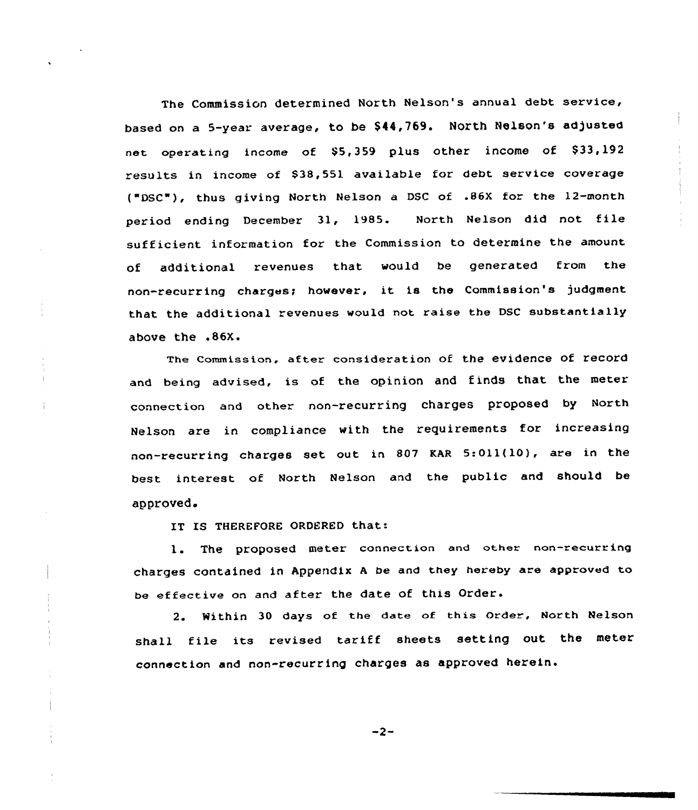The Commission determined North Nelson's annual debt service, based on a 5-year average, to be \$44,769. North Nelson's adjusted net operating income of \$5,359 plus other income of \$33,192 results in income of \$38,551 available for debt sexvice coverage ("DSC"), thus giving North Nelson a DSC of .86X for the 12-month pex'iod ending December 31, 1985. North Nelson did not file sufficient information fox the Commission to determine the amount of additional revenues that would be generated fxom the non-recurring charges; however, it is the Commission's judgment that the additional revenues would not raise the DSC substantially above the .86X.

The Commission, after consideration of the evidence of record and being advised, is of the opinion and finds that the meter connection and other non-recurring charges proposed by North Nelson are in compliance with the requirements for incxeasing non-recurring charges set out in <sup>807</sup> KAR 5:Oll(10), are in the best interest of North Nelson and the public and should be approved.

IT IS THEREFORE ORDERED that:

l. The proposed meter connection and other non-recurring charges contained in Appendix <sup>A</sup> be and they hereby are approved to be effective on and after the date of this Order.

2. Within 30 days of the date of this order, North Nelson shall file its revised tariff sheets setting out the meter connection and non-recurring charges as approved herein.

$$
-2-
$$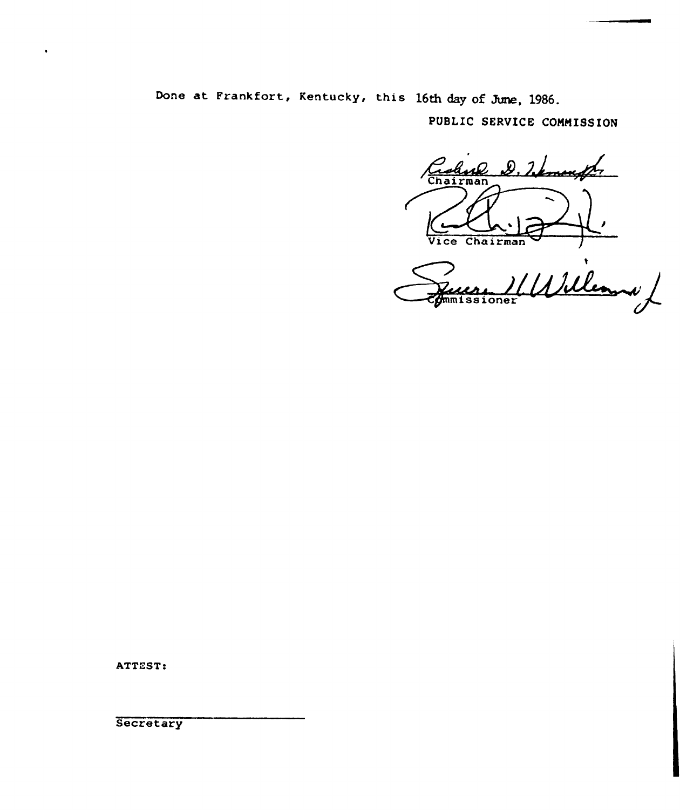Done at Frankfort, Kentucky, this 16th day of June, 1986.

PUBLIC SERVICE COMMISSION

Cahne<br>Chairman D. Warnenfts Vice Chairman

Wilema **mmissioner** 

ATTEST:

Secretary